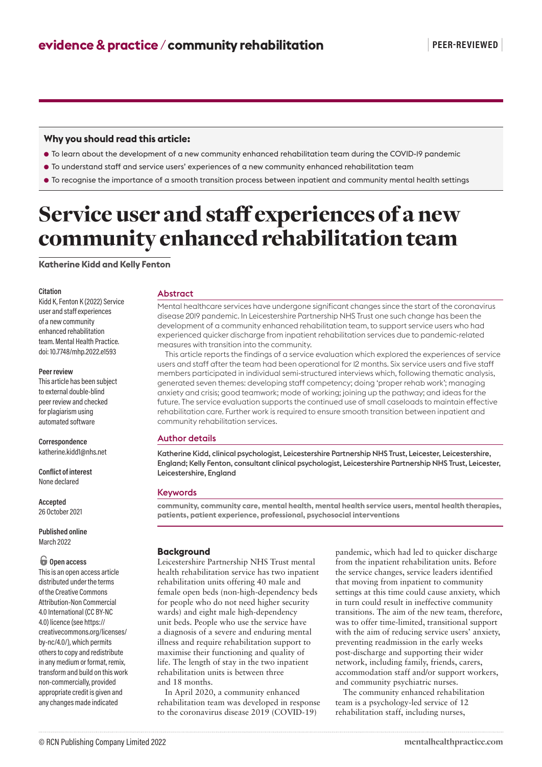# **Why you should read this article:**

- To learn about the development of a new community enhanced rehabilitation team during the COVID-19 pandemic
- To understand staff and service users' experiences of a new community enhanced rehabilitation team
- To recognise the importance of a smooth transition process between inpatient and community mental health settings

# Service user and staff experiences of a new community enhanced rehabilitation team

**Katherine Kidd and Kelly Fenton**

#### **Citation**

Kidd K, Fenton K (2022) Service user and staff experiences of a new community enhanced rehabilitation team. Mental Health Practice. doi: 10.7748/mhp.2022.e1593

#### **Peer review**

This article has been subject to external double-blind peer review and checked for plagiarism using automated software

**Correspondence** katherine.kidd1@nhs.net

**Conflict of interest** None declared

**Accepted** 26 October 2021

**Published online** March 2022

# $\bigoplus$  Open access

This is an open access article distributed under the terms of the Creative Commons Attribution-Non Commercial 4.0 International (CC BY-NC 4.0) licence (see https:// creativecommons.org/licenses/ by-nc/4.0/), which permits others to copy and redistribute in any medium or format, remix, transform and build on this work non-commercially, provided appropriate credit is given and any changes made indicated

#### Abstract

Mental healthcare services have undergone significant changes since the start of the coronavirus disease 2019 pandemic. In Leicestershire Partnership NHS Trust one such change has been the development of a community enhanced rehabilitation team, to support service users who had experienced quicker discharge from inpatient rehabilitation services due to pandemic-related measures with transition into the community.

This article reports the findings of a service evaluation which explored the experiences of service users and staff after the team had been operational for 12 months. Six service users and five staff members participated in individual semi-structured interviews which, following thematic analysis, generated seven themes: developing staff competency; doing 'proper rehab work'; managing anxiety and crisis; good teamwork; mode of working; joining up the pathway; and ideas for the future. The service evaluation supports the continued use of small caseloads to maintain effective rehabilitation care. Further work is required to ensure smooth transition between inpatient and community rehabilitation services.

# Author details

Katherine Kidd, clinical psychologist, Leicestershire Partnership NHS Trust, Leicester, Leicestershire, England; Kelly Fenton, consultant clinical psychologist, Leicestershire Partnership NHS Trust, Leicester, Leicestershire, England

# Keywords

**community, community care, mental health, mental health service users, mental health therapies, patients, patient experience, professional, psychosocial interventions**

# **Background**

Leicestershire Partnership NHS Trust mental health rehabilitation service has two inpatient rehabilitation units offering 40 male and female open beds (non-high-dependency beds for people who do not need higher security wards) and eight male high-dependency unit beds. People who use the service have a diagnosis of a severe and enduring mental illness and require rehabilitation support to maximise their functioning and quality of life. The length of stay in the two inpatient rehabilitation units is between three and 18 months.

In April 2020, a community enhanced rehabilitation team was developed in response to the coronavirus disease 2019 (COVID-19)

pandemic, which had led to quicker discharge from the inpatient rehabilitation units. Before the service changes, service leaders identified that moving from inpatient to community settings at this time could cause anxiety, which in turn could result in ineffective community transitions. The aim of the new team, therefore, was to offer time-limited, transitional support with the aim of reducing service users' anxiety, preventing readmission in the early weeks post-discharge and supporting their wider network, including family, friends, carers, accommodation staff and/or support workers, and community psychiatric nurses.

The community enhanced rehabilitation team is a psychology-led service of 12 rehabilitation staff, including nurses,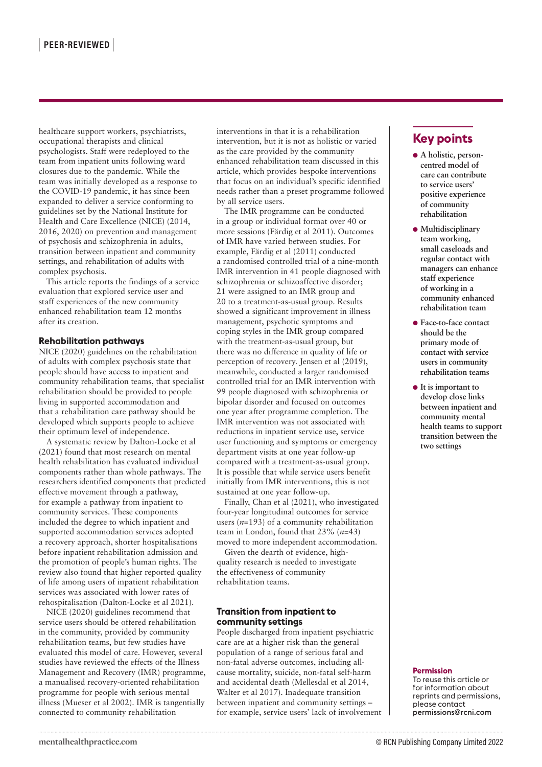healthcare support workers, psychiatrists, occupational therapists and clinical psychologists. Staff were redeployed to the team from inpatient units following ward closures due to the pandemic. While the team was initially developed as a response to the COVID-19 pandemic, it has since been expanded to deliver a service conforming to guidelines set by the National Institute for Health and Care Excellence (NICE) (2014, 2016, 2020) on prevention and management of psychosis and schizophrenia in adults, transition between inpatient and community settings, and rehabilitation of adults with complex psychosis.

This article reports the findings of a service evaluation that explored service user and staff experiences of the new community enhanced rehabilitation team 12 months after its creation.

#### **Rehabilitation pathways**

NICE (2020) guidelines on the rehabilitation of adults with complex psychosis state that people should have access to inpatient and community rehabilitation teams, that specialist rehabilitation should be provided to people living in supported accommodation and that a rehabilitation care pathway should be developed which supports people to achieve their optimum level of independence.

A systematic review by Dalton-Locke et al (2021) found that most research on mental health rehabilitation has evaluated individual components rather than whole pathways. The researchers identified components that predicted effective movement through a pathway, for example a pathway from inpatient to community services. These components included the degree to which inpatient and supported accommodation services adopted a recovery approach, shorter hospitalisations before inpatient rehabilitation admission and the promotion of people's human rights. The review also found that higher reported quality of life among users of inpatient rehabilitation services was associated with lower rates of rehospitalisation (Dalton-Locke et al 2021).

NICE (2020) guidelines recommend that service users should be offered rehabilitation in the community, provided by community rehabilitation teams, but few studies have evaluated this model of care. However, several studies have reviewed the effects of the Illness Management and Recovery (IMR) programme, a manualised recovery-oriented rehabilitation programme for people with serious mental illness (Mueser et al 2002). IMR is tangentially connected to community rehabilitation

interventions in that it is a rehabilitation intervention, but it is not as holistic or varied as the care provided by the community enhanced rehabilitation team discussed in this article, which provides bespoke interventions that focus on an individual's specific identified needs rather than a preset programme followed by all service users.

The IMR programme can be conducted in a group or individual format over 40 or more sessions (Färdig et al 2011). Outcomes of IMR have varied between studies. For example, Färdig et al (2011) conducted a randomised controlled trial of a nine-month IMR intervention in 41 people diagnosed with schizophrenia or schizoaffective disorder; 21 were assigned to an IMR group and 20 to a treatment-as-usual group. Results showed a significant improvement in illness management, psychotic symptoms and coping styles in the IMR group compared with the treatment-as-usual group, but there was no difference in quality of life or perception of recovery. Jensen et al (2019), meanwhile, conducted a larger randomised controlled trial for an IMR intervention with 99 people diagnosed with schizophrenia or bipolar disorder and focused on outcomes one year after programme completion. The IMR intervention was not associated with reductions in inpatient service use, service user functioning and symptoms or emergency department visits at one year follow-up compared with a treatment-as-usual group. It is possible that while service users benefit initially from IMR interventions, this is not sustained at one year follow-up.

Finally, Chan et al (2021), who investigated four-year longitudinal outcomes for service users (*n=*193) of a community rehabilitation team in London, found that 23% (*n=*43) moved to more independent accommodation.

Given the dearth of evidence, highquality research is needed to investigate the effectiveness of community rehabilitation teams.

# **Transition from inpatient to community settings**

People discharged from inpatient psychiatric care are at a higher risk than the general population of a range of serious fatal and non-fatal adverse outcomes, including allcause mortality, suicide, non-fatal self-harm and accidental death (Mellesdal et al 2014, Walter et al 2017). Inadequate transition between inpatient and community settings – for example, service users' lack of involvement

# **Key points**

- **A holistic, personcentred model of care can contribute to service users' positive experience of community rehabilitation**
- **Multidisciplinary team working, small caseloads and regular contact with managers can enhance staff experience of working in a community enhanced rehabilitation team**
- Face-to-face contact **should be the primary mode of contact with service users in community rehabilitation teams**
- **It is important to develop close links between inpatient and community mental health teams to support transition between the two settings**

#### **Permission**

To reuse this article or for information about reprints and permissions, please contact permissions@rcni.com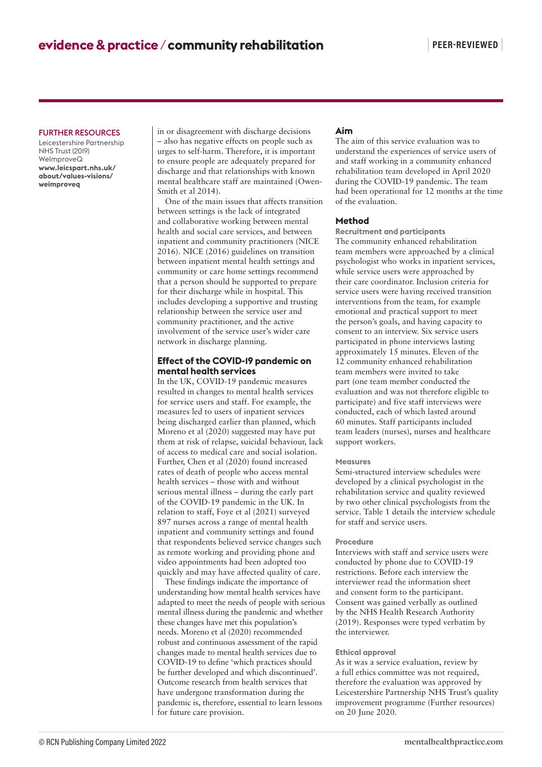# FURTHER RESOURCES

Leicestershire Partnership NHS Trust (2019) WeImproveQ **www.leicspart.nhs.uk/ about/values-visions/ weimproveq**

in or disagreement with discharge decisions – also has negative effects on people such as urges to self-harm. Therefore, it is important to ensure people are adequately prepared for discharge and that relationships with known mental healthcare staff are maintained (Owen-Smith et al 2014).

One of the main issues that affects transition between settings is the lack of integrated and collaborative working between mental health and social care services, and between inpatient and community practitioners (NICE 2016). NICE (2016) guidelines on transition between inpatient mental health settings and community or care home settings recommend that a person should be supported to prepare for their discharge while in hospital. This includes developing a supportive and trusting relationship between the service user and community practitioner, and the active involvement of the service user's wider care network in discharge planning.

# **Effect of the COVID-19 pandemic on mental health services**

In the UK, COVID-19 pandemic measures resulted in changes to mental health services for service users and staff. For example, the measures led to users of inpatient services being discharged earlier than planned, which Moreno et al (2020) suggested may have put them at risk of relapse, suicidal behaviour, lack of access to medical care and social isolation. Further, Chen et al (2020) found increased rates of death of people who access mental health services – those with and without serious mental illness – during the early part of the COVID-19 pandemic in the UK. In relation to staff, Foye et al (2021) surveyed 897 nurses across a range of mental health inpatient and community settings and found that respondents believed service changes such as remote working and providing phone and video appointments had been adopted too quickly and may have affected quality of care.

These findings indicate the importance of understanding how mental health services have adapted to meet the needs of people with serious mental illness during the pandemic and whether these changes have met this population's needs. Moreno et al (2020) recommended robust and continuous assessment of the rapid changes made to mental health services due to COVID-19 to define 'which practices should be further developed and which discontinued'. Outcome research from health services that have undergone transformation during the pandemic is, therefore, essential to learn lessons for future care provision.

# **Aim**

The aim of this service evaluation was to understand the experiences of service users of and staff working in a community enhanced rehabilitation team developed in April 2020 during the COVID-19 pandemic. The team had been operational for 12 months at the time of the evaluation.

#### **Method**

**Recruitment and participants** The community enhanced rehabilitation team members were approached by a clinical psychologist who works in inpatient services, while service users were approached by their care coordinator. Inclusion criteria for service users were having received transition interventions from the team, for example emotional and practical support to meet the person's goals, and having capacity to consent to an interview. Six service users participated in phone interviews lasting approximately 15 minutes. Eleven of the 12 community enhanced rehabilitation team members were invited to take part (one team member conducted the evaluation and was not therefore eligible to participate) and five staff interviews were conducted, each of which lasted around 60 minutes. Staff participants included team leaders (nurses), nurses and healthcare support workers.

#### **Measures**

Semi-structured interview schedules were developed by a clinical psychologist in the rehabilitation service and quality reviewed by two other clinical psychologists from the service. Table 1 details the interview schedule for staff and service users.

#### **Procedure**

Interviews with staff and service users were conducted by phone due to COVID-19 restrictions. Before each interview the interviewer read the information sheet and consent form to the participant. Consent was gained verbally as outlined by the NHS Health Research Authority (2019). Responses were typed verbatim by the interviewer.

# **Ethical approval**

As it was a service evaluation, review by a full ethics committee was not required, therefore the evaluation was approved by Leicestershire Partnership NHS Trust's quality improvement programme (Further resources) on 20 June 2020.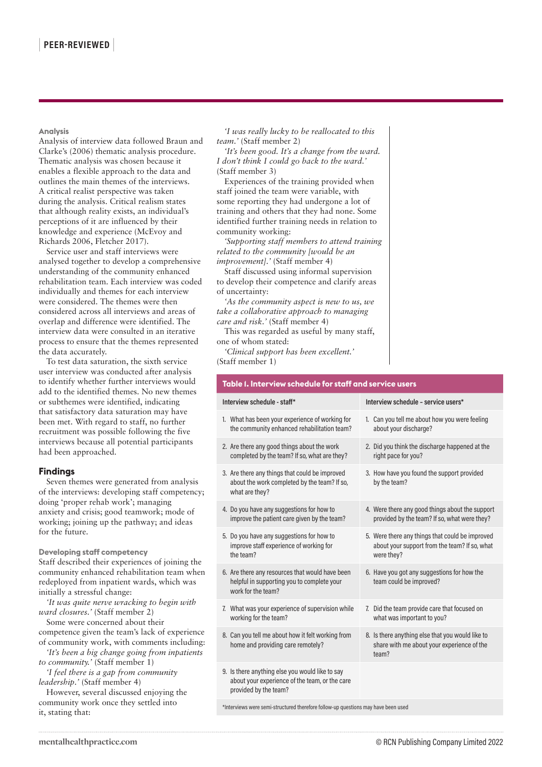**Analysis**

Analysis of interview data followed Braun and Clarke's (2006) thematic analysis procedure. Thematic analysis was chosen because it enables a flexible approach to the data and outlines the main themes of the interviews. A critical realist perspective was taken during the analysis. Critical realism states that although reality exists, an individual's perceptions of it are influenced by their knowledge and experience (McEvoy and Richards 2006, Fletcher 2017).

Service user and staff interviews were analysed together to develop a comprehensive understanding of the community enhanced rehabilitation team. Each interview was coded individually and themes for each interview were considered. The themes were then considered across all interviews and areas of overlap and difference were identified. The interview data were consulted in an iterative process to ensure that the themes represented the data accurately.

To test data saturation, the sixth service user interview was conducted after analysis to identify whether further interviews would add to the identified themes. No new themes or subthemes were identified, indicating that satisfactory data saturation may have been met. With regard to staff, no further recruitment was possible following the five interviews because all potential participants had been approached.

# **Findings**

Seven themes were generated from analysis of the interviews: developing staff competency; doing 'proper rehab work'; managing anxiety and crisis; good teamwork; mode of working; joining up the pathway; and ideas for the future.

**Developing staff competency** Staff described their experiences of joining the community enhanced rehabilitation team when redeployed from inpatient wards, which was initially a stressful change:

*'It was quite nerve wracking to begin with ward closures.'* (Staff member 2)

Some were concerned about their competence given the team's lack of experience of community work, with comments including:

- *'It's been a big change going from inpatients to community.'* (Staff member 1)
- *'I feel there is a gap from community leadership.'* (Staff member 4)

However, several discussed enjoying the community work once they settled into it, stating that:

*'I was really lucky to be reallocated to this team.'* (Staff member 2)

*'It's been good. It's a change from the ward. I don't think I could go back to the ward.'* (Staff member 3)

Experiences of the training provided when staff joined the team were variable, with some reporting they had undergone a lot of training and others that they had none. Some identified further training needs in relation to community working:

*'Supporting staff members to attend training related to the community [would be an improvement].'* (Staff member 4)

Staff discussed using informal supervision to develop their competence and clarify areas of uncertainty:

*'As the community aspect is new to us, we take a collaborative approach to managing care and risk.'* (Staff member 4)

This was regarded as useful by many staff, one of whom stated:

*'Clinical support has been excellent.'* (Staff member 1)

# **Table 1. Interview schedule for staff and service users**

| Interview schedule - staff*                                                                                                | Interview schedule - service users*                                                                            |
|----------------------------------------------------------------------------------------------------------------------------|----------------------------------------------------------------------------------------------------------------|
| 1. What has been your experience of working for<br>the community enhanced rehabilitation team?                             | 1. Can you tell me about how you were feeling<br>about your discharge?                                         |
| 2. Are there any good things about the work<br>completed by the team? If so, what are they?                                | 2. Did you think the discharge happened at the<br>right pace for you?                                          |
| 3. Are there any things that could be improved<br>about the work completed by the team? If so,<br>what are they?           | 3. How have you found the support provided<br>by the team?                                                     |
| 4. Do you have any suggestions for how to<br>improve the patient care given by the team?                                   | 4. Were there any good things about the support<br>provided by the team? If so, what were they?                |
| 5. Do you have any suggestions for how to<br>improve staff experience of working for<br>the team?                          | 5. Were there any things that could be improved<br>about your support from the team? If so, what<br>were they? |
| 6. Are there any resources that would have been<br>helpful in supporting you to complete your<br>work for the team?        | 6. Have you got any suggestions for how the<br>team could be improved?                                         |
| 7. What was your experience of supervision while<br>working for the team?                                                  | 7. Did the team provide care that focused on<br>what was important to you?                                     |
| 8. Can you tell me about how it felt working from<br>home and providing care remotely?                                     | 8. Is there anything else that you would like to<br>share with me about your experience of the<br>team?        |
| 9. Is there anything else you would like to say<br>about your experience of the team, or the care<br>provided by the team? |                                                                                                                |
|                                                                                                                            |                                                                                                                |

\*Interviews were semi-structured therefore follow-up questions may have been used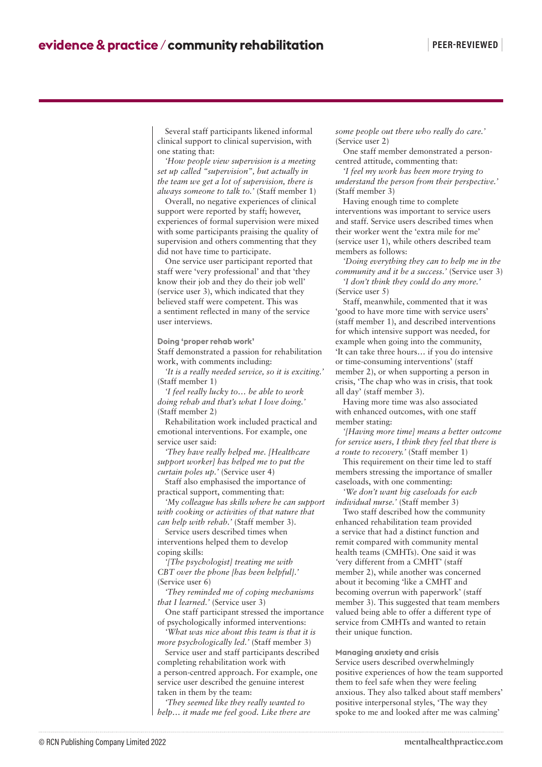Several staff participants likened informal clinical support to clinical supervision, with one stating that:

*'How people view supervision is a meeting set up called "supervision", but actually in the team we get a lot of supervision, there is always someone to talk to.'* (Staff member 1)

Overall, no negative experiences of clinical support were reported by staff; however, experiences of formal supervision were mixed with some participants praising the quality of supervision and others commenting that they did not have time to participate.

One service user participant reported that staff were 'very professional' and that 'they know their job and they do their job well' (service user 3), which indicated that they believed staff were competent. This was a sentiment reflected in many of the service user interviews.

**Doing 'proper rehab work'**

Staff demonstrated a passion for rehabilitation work, with comments including:

*'It is a really needed service, so it is exciting.'* (Staff member 1)

*'I feel really lucky to… be able to work doing rehab and that's what I love doing.'* (Staff member 2)

Rehabilitation work included practical and emotional interventions. For example, one service user said:

*'They have really helped me. [Healthcare support worker] has helped me to put the curtain poles up.'* (Service user 4)

Staff also emphasised the importance of practical support, commenting that:

*'My colleague has skills where he can support with cooking or activities of that nature that can help with rehab.'* (Staff member 3).

Service users described times when interventions helped them to develop coping skills:

*'[The psychologist] treating me with CBT over the phone [has been helpful].'* (Service user 6)

*'They reminded me of coping mechanisms that I learned.'* (Service user 3)

One staff participant stressed the importance of psychologically informed interventions:

*'What was nice about this team is that it is more psychologically led.'* (Staff member 3)

Service user and staff participants described completing rehabilitation work with a person-centred approach. For example, one service user described the genuine interest taken in them by the team:

*'They seemed like they really wanted to help… it made me feel good. Like there are*  *some people out there who really do care.'* (Service user 2)

One staff member demonstrated a personcentred attitude, commenting that:

*'I feel my work has been more trying to understand the person from their perspective.'* (Staff member 3)

Having enough time to complete interventions was important to service users and staff. Service users described times when their worker went the 'extra mile for me' (service user 1), while others described team members as follows:

*'Doing everything they can to help me in the community and it be a success.'* (Service user 3)

*'I don't think they could do any more.'* (Service user 5)

Staff, meanwhile, commented that it was 'good to have more time with service users' (staff member 1), and described interventions for which intensive support was needed, for example when going into the community, 'It can take three hours… if you do intensive or time-consuming interventions' (staff member 2), or when supporting a person in crisis, 'The chap who was in crisis, that took all day' (staff member 3).

Having more time was also associated with enhanced outcomes, with one staff member stating:

*'[Having more time] means a better outcome for service users, I think they feel that there is a route to recovery.'* (Staff member 1)

This requirement on their time led to staff members stressing the importance of smaller caseloads, with one commenting:

*'We don't want big caseloads for each individual nurse.'* (Staff member 3)

Two staff described how the community enhanced rehabilitation team provided a service that had a distinct function and remit compared with community mental health teams (CMHTs). One said it was *'*very different from a CMHT' (staff member 2), while another was concerned about it becoming 'like a CMHT and becoming overrun with paperwork' (staff member 3). This suggested that team members valued being able to offer a different type of service from CMHTs and wanted to retain their unique function.

**Managing anxiety and crisis** Service users described overwhelmingly positive experiences of how the team supported them to feel safe when they were feeling anxious. They also talked about staff members' positive interpersonal styles, 'The way they spoke to me and looked after me was calming'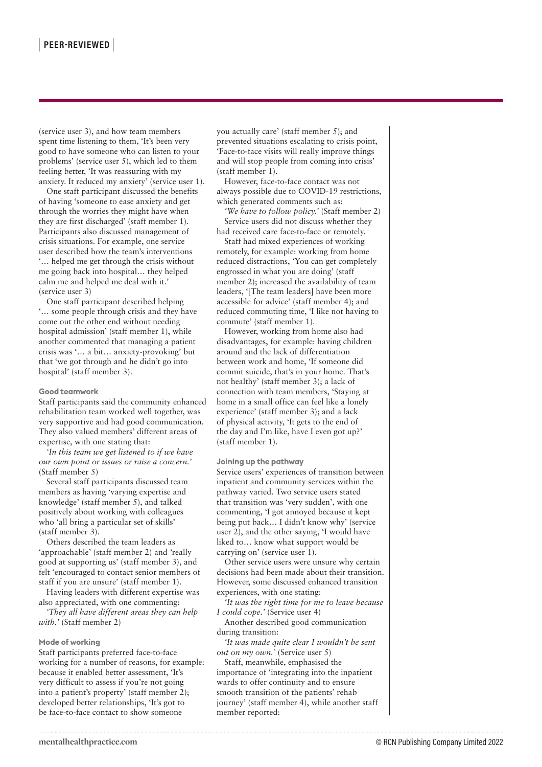(service user 3), and how team members spent time listening to them, 'It's been very good to have someone who can listen to your problems' (service user 5), which led to them feeling better, 'It was reassuring with my anxiety. It reduced my anxiety' (service user 1).

One staff participant discussed the benefits of having 'someone to ease anxiety and get through the worries they might have when they are first discharged' (staff member 1). Participants also discussed management of crisis situations. For example, one service user described how the team's interventions '… helped me get through the crisis without me going back into hospital… they helped calm me and helped me deal with it.' (service user 3)

One staff participant described helping '… some people through crisis and they have come out the other end without needing hospital admission' (staff member 1), while another commented that managing a patient crisis was '… a bit… anxiety-provoking' but that 'we got through and he didn't go into hospital' (staff member 3).

#### **Good teamwork**

Staff participants said the community enhanced rehabilitation team worked well together, was very supportive and had good communication. They also valued members' different areas of expertise, with one stating that:

*'In this team we get listened to if we have our own point or issues or raise a concern.'* (Staff member 5)

Several staff participants discussed team members as having 'varying expertise and knowledge' (staff member 5), and talked positively about working with colleagues who 'all bring a particular set of skills' (staff member 3).

Others described the team leaders as 'approachable' (staff member 2) and *'*really good at supporting us' (staff member 3), and felt 'encouraged to contact senior members of staff if you are unsure' (staff member 1).

Having leaders with different expertise was also appreciated, with one commenting:

*'They all have different areas they can help with.'* (Staff member 2)

#### **Mode of working**

Staff participants preferred face-to-face working for a number of reasons, for example: because it enabled better assessment, 'It's very difficult to assess if you're not going into a patient's property' (staff member 2); developed better relationships, 'It's got to be face-to-face contact to show someone

you actually care' (staff member 5); and prevented situations escalating to crisis point, 'Face-to-face visits will really improve things and will stop people from coming into crisis' (staff member 1).

However, face-to-face contact was not always possible due to COVID-19 restrictions, which generated comments such as:

*'We have to follow policy.'* (Staff member 2) Service users did not discuss whether they had received care face-to-face or remotely.

Staff had mixed experiences of working remotely, for example: working from home reduced distractions, *'*You can get completely engrossed in what you are doing' (staff member 2); increased the availability of team leaders, '[The team leaders] have been more accessible for advice' (staff member 4); and reduced commuting time, 'I like not having to commute' (staff member 1).

However, working from home also had disadvantages, for example: having children around and the lack of differentiation between work and home, 'If someone did commit suicide, that's in your home. That's not healthy' (staff member 3); a lack of connection with team members, 'Staying at home in a small office can feel like a lonely experience' (staff member 3); and a lack of physical activity, 'It gets to the end of the day and I'm like, have I even got up?' (staff member 1).

#### **Joining up the pathway**

Service users' experiences of transition between inpatient and community services within the pathway varied. Two service users stated that transition was 'very sudden', with one commenting, 'I got annoyed because it kept being put back… I didn't know why' (service user 2), and the other saying, 'I would have liked to… know what support would be carrying on' (service user 1).

Other service users were unsure why certain decisions had been made about their transition. However, some discussed enhanced transition experiences, with one stating:

*'It was the right time for me to leave because I could cope.'* (Service user 4)

Another described good communication during transition:

*'It was made quite clear I wouldn't be sent out on my own.'* (Service user 5)

Staff, meanwhile, emphasised the importance of 'integrating into the inpatient wards to offer continuity and to ensure smooth transition of the patients' rehab journey' (staff member 4), while another staff member reported: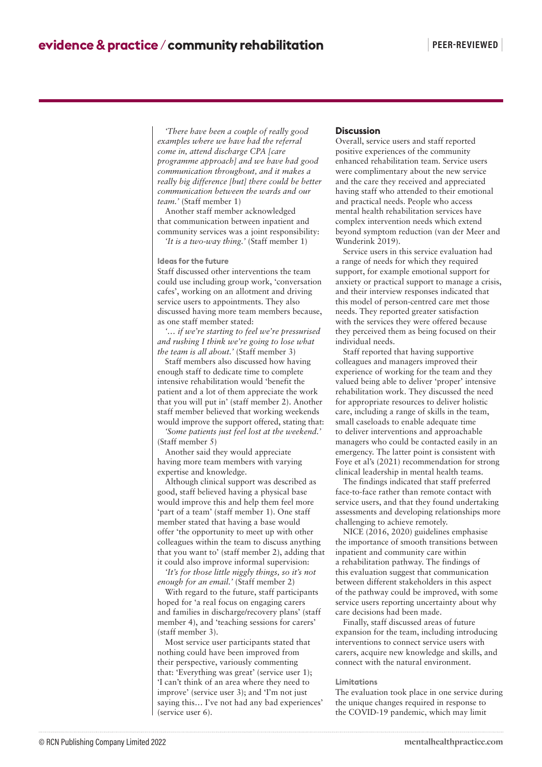*'There have been a couple of really good examples where we have had the referral come in, attend discharge CPA [care programme approach] and we have had good communication throughout, and it makes a really big difference [but] there could be better communication between the wards and our team.'* (Staff member 1)

Another staff member acknowledged that communication between inpatient and community services was a joint responsibility: *'It is a two-way thing.'* (Staff member 1)

**Ideas for the future**

Staff discussed other interventions the team could use including group work, 'conversation cafes', working on an allotment and driving service users to appointments. They also discussed having more team members because, as one staff member stated:

*'… if we're starting to feel we're pressurised and rushing I think we're going to lose what the team is all about.'* (Staff member 3)

Staff members also discussed how having enough staff to dedicate time to complete intensive rehabilitation would 'benefit the patient and a lot of them appreciate the work that you will put in' (staff member 2). Another staff member believed that working weekends would improve the support offered, stating that:

*'Some patients just feel lost at the weekend.'* (Staff member 5)

Another said they would appreciate having more team members with varying expertise and knowledge.

Although clinical support was described as good, staff believed having a physical base would improve this and help them feel more 'part of a team' (staff member 1). One staff member stated that having a base would offer 'the opportunity to meet up with other colleagues within the team to discuss anything that you want to' (staff member 2), adding that it could also improve informal supervision:

*'It's for those little niggly things, so it's not enough for an email.'* (Staff member 2)

With regard to the future, staff participants hoped for 'a real focus on engaging carers and families in discharge/recovery plans' (staff member 4), and 'teaching sessions for carers' (staff member 3).

Most service user participants stated that nothing could have been improved from their perspective, variously commenting that: 'Everything was great' (service user 1); 'I can't think of an area where they need to improve' (service user 3); and 'I'm not just saying this… I've not had any bad experiences' (service user 6).

#### **Discussion**

Overall, service users and staff reported positive experiences of the community enhanced rehabilitation team. Service users were complimentary about the new service and the care they received and appreciated having staff who attended to their emotional and practical needs. People who access mental health rehabilitation services have complex intervention needs which extend beyond symptom reduction (van der Meer and Wunderink 2019).

Service users in this service evaluation had a range of needs for which they required support, for example emotional support for anxiety or practical support to manage a crisis, and their interview responses indicated that this model of person-centred care met those needs. They reported greater satisfaction with the services they were offered because they perceived them as being focused on their individual needs.

Staff reported that having supportive colleagues and managers improved their experience of working for the team and they valued being able to deliver 'proper' intensive rehabilitation work. They discussed the need for appropriate resources to deliver holistic care, including a range of skills in the team, small caseloads to enable adequate time to deliver interventions and approachable managers who could be contacted easily in an emergency. The latter point is consistent with Foye et al's (2021) recommendation for strong clinical leadership in mental health teams.

The findings indicated that staff preferred face-to-face rather than remote contact with service users, and that they found undertaking assessments and developing relationships more challenging to achieve remotely.

NICE (2016, 2020) guidelines emphasise the importance of smooth transitions between inpatient and community care within a rehabilitation pathway. The findings of this evaluation suggest that communication between different stakeholders in this aspect of the pathway could be improved, with some service users reporting uncertainty about why care decisions had been made.

Finally, staff discussed areas of future expansion for the team, including introducing interventions to connect service users with carers, acquire new knowledge and skills, and connect with the natural environment.

#### **Limitations**

The evaluation took place in one service during the unique changes required in response to the COVID-19 pandemic, which may limit